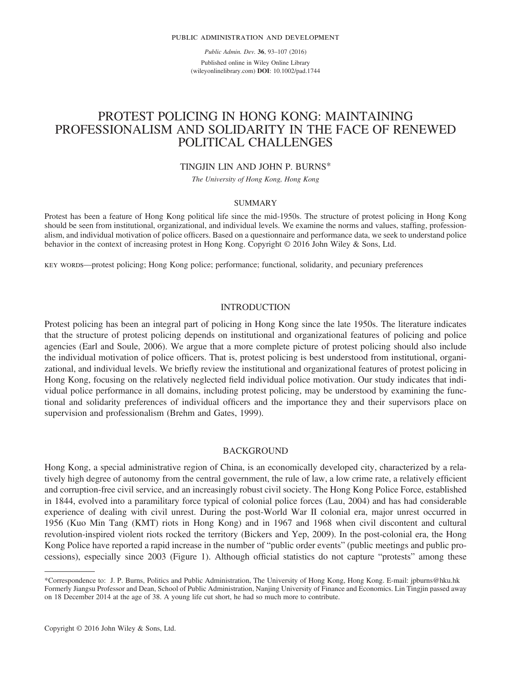Public Admin. Dev. 36, 93–107 (2016)

Published online in Wiley Online Library (wileyonlinelibrary.com) DOI: 10.1002/pad.1744

# PROTEST POLICING IN HONG KONG: MAINTAINING PROFESSIONALISM AND SOLIDARITY IN THE FACE OF RENEWED POLITICAL CHALLENGES

#### TINGJIN LIN AND JOHN P. BURNS\*

The University of Hong Kong, Hong Kong

#### SUMMARY

Protest has been a feature of Hong Kong political life since the mid-1950s. The structure of protest policing in Hong Kong should be seen from institutional, organizational, and individual levels. We examine the norms and values, staffing, professionalism, and individual motivation of police officers. Based on a questionnaire and performance data, we seek to understand police behavior in the context of increasing protest in Hong Kong. Copyright © 2016 John Wiley & Sons, Ltd.

key words—protest policing; Hong Kong police; performance; functional, solidarity, and pecuniary preferences

#### INTRODUCTION

Protest policing has been an integral part of policing in Hong Kong since the late 1950s. The literature indicates that the structure of protest policing depends on institutional and organizational features of policing and police agencies (Earl and Soule, 2006). We argue that a more complete picture of protest policing should also include the individual motivation of police officers. That is, protest policing is best understood from institutional, organizational, and individual levels. We briefly review the institutional and organizational features of protest policing in Hong Kong, focusing on the relatively neglected field individual police motivation. Our study indicates that individual police performance in all domains, including protest policing, may be understood by examining the functional and solidarity preferences of individual officers and the importance they and their supervisors place on supervision and professionalism (Brehm and Gates, 1999).

#### BACKGROUND

Hong Kong, a special administrative region of China, is an economically developed city, characterized by a relatively high degree of autonomy from the central government, the rule of law, a low crime rate, a relatively efficient and corruption-free civil service, and an increasingly robust civil society. The Hong Kong Police Force, established in 1844, evolved into a paramilitary force typical of colonial police forces (Lau, 2004) and has had considerable experience of dealing with civil unrest. During the post-World War II colonial era, major unrest occurred in 1956 (Kuo Min Tang (KMT) riots in Hong Kong) and in 1967 and 1968 when civil discontent and cultural revolution-inspired violent riots rocked the territory (Bickers and Yep, 2009). In the post-colonial era, the Hong Kong Police have reported a rapid increase in the number of "public order events" (public meetings and public processions), especially since 2003 (Figure 1). Although official statistics do not capture "protests" among these

<sup>\*</sup>Correspondence to: J. P. Burns, Politics and Public Administration, The University of Hong Kong, Hong Kong. E-mail: jpburns@hku.hk Formerly Jiangsu Professor and Dean, School of Public Administration, Nanjing University of Finance and Economics. Lin Tingjin passed away on 18 December 2014 at the age of 38. A young life cut short, he had so much more to contribute.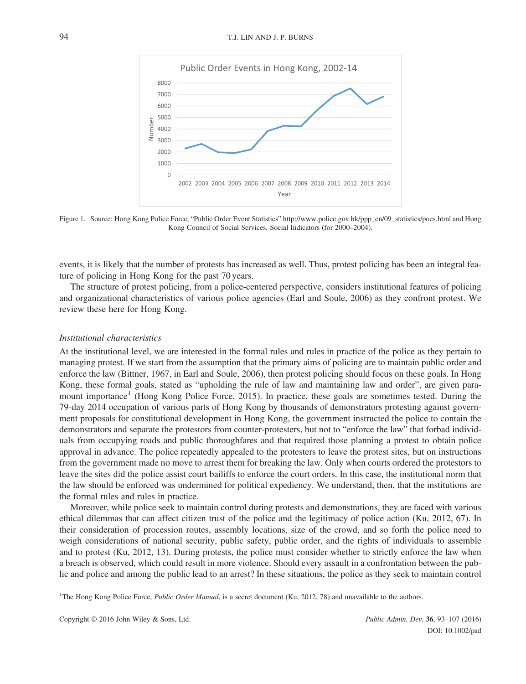#### 94 T.J. LIN AND J. P. BURNS



Figure 1. Source: Hong Kong Police Force, "Public Order Event Statistics" [http://www.police.gov.hk/ppp\\_en/09\\_statistics/poes.html](http://www.police.gov.hk/ppp_en/09_statistics/poes.html) and Hong Kong Council of Social Services, Social Indicators (for 2000–2004).

events, it is likely that the number of protests has increased as well. Thus, protest policing has been an integral feature of policing in Hong Kong for the past 70 years.

The structure of protest policing, from a police-centered perspective, considers institutional features of policing and organizational characteristics of various police agencies (Earl and Soule, 2006) as they confront protest. We review these here for Hong Kong.

## Institutional characteristics

At the institutional level, we are interested in the formal rules and rules in practice of the police as they pertain to managing protest. If we start from the assumption that the primary aims of policing are to maintain public order and enforce the law (Bittner, 1967, in Earl and Soule, 2006), then protest policing should focus on these goals. In Hong Kong, these formal goals, stated as "upholding the rule of law and maintaining law and order", are given paramount importance<sup>1</sup> (Hong Kong Police Force, 2015). In practice, these goals are sometimes tested. During the 79-day 2014 occupation of various parts of Hong Kong by thousands of demonstrators protesting against government proposals for constitutional development in Hong Kong, the government instructed the police to contain the demonstrators and separate the protestors from counter-protesters, but not to "enforce the law" that forbad individuals from occupying roads and public thoroughfares and that required those planning a protest to obtain police approval in advance. The police repeatedly appealed to the protesters to leave the protest sites, but on instructions from the government made no move to arrest them for breaking the law. Only when courts ordered the protestors to leave the sites did the police assist court bailiffs to enforce the court orders. In this case, the institutional norm that the law should be enforced was undermined for political expediency. We understand, then, that the institutions are the formal rules and rules in practice.

Moreover, while police seek to maintain control during protests and demonstrations, they are faced with various ethical dilemmas that can affect citizen trust of the police and the legitimacy of police action (Ku, 2012, 67). In their consideration of procession routes, assembly locations, size of the crowd, and so forth the police need to weigh considerations of national security, public safety, public order, and the rights of individuals to assemble and to protest (Ku, 2012, 13). During protests, the police must consider whether to strictly enforce the law when a breach is observed, which could result in more violence. Should every assault in a confrontation between the public and police and among the public lead to an arrest? In these situations, the police as they seek to maintain control

<sup>&</sup>lt;sup>1</sup>The Hong Kong Police Force, *Public Order Manual*, is a secret document (Ku, 2012, 78) and unavailable to the authors.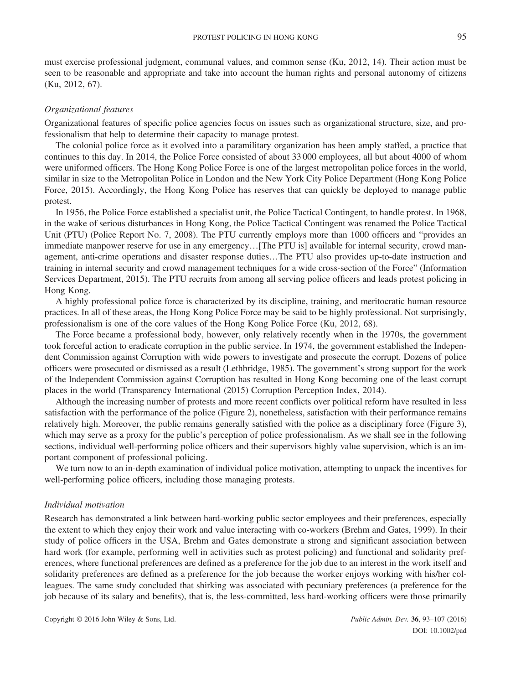must exercise professional judgment, communal values, and common sense (Ku, 2012, 14). Their action must be seen to be reasonable and appropriate and take into account the human rights and personal autonomy of citizens (Ku, 2012, 67).

#### Organizational features

Organizational features of specific police agencies focus on issues such as organizational structure, size, and professionalism that help to determine their capacity to manage protest.

The colonial police force as it evolved into a paramilitary organization has been amply staffed, a practice that continues to this day. In 2014, the Police Force consisted of about 33 000 employees, all but about 4000 of whom were uniformed officers. The Hong Kong Police Force is one of the largest metropolitan police forces in the world, similar in size to the Metropolitan Police in London and the New York City Police Department (Hong Kong Police Force, 2015). Accordingly, the Hong Kong Police has reserves that can quickly be deployed to manage public protest.

In 1956, the Police Force established a specialist unit, the Police Tactical Contingent, to handle protest. In 1968, in the wake of serious disturbances in Hong Kong, the Police Tactical Contingent was renamed the Police Tactical Unit (PTU) (Police Report No. 7, 2008). The PTU currently employs more than 1000 officers and "provides an immediate manpower reserve for use in any emergency…[The PTU is] available for internal security, crowd management, anti-crime operations and disaster response duties…The PTU also provides up-to-date instruction and training in internal security and crowd management techniques for a wide cross-section of the Force" (Information Services Department, 2015). The PTU recruits from among all serving police officers and leads protest policing in Hong Kong.

A highly professional police force is characterized by its discipline, training, and meritocratic human resource practices. In all of these areas, the Hong Kong Police Force may be said to be highly professional. Not surprisingly, professionalism is one of the core values of the Hong Kong Police Force (Ku, 2012, 68).

The Force became a professional body, however, only relatively recently when in the 1970s, the government took forceful action to eradicate corruption in the public service. In 1974, the government established the Independent Commission against Corruption with wide powers to investigate and prosecute the corrupt. Dozens of police officers were prosecuted or dismissed as a result (Lethbridge, 1985). The government's strong support for the work of the Independent Commission against Corruption has resulted in Hong Kong becoming one of the least corrupt places in the world (Transparency International (2015) Corruption Perception Index, 2014).

Although the increasing number of protests and more recent conflicts over political reform have resulted in less satisfaction with the performance of the police (Figure 2), nonetheless, satisfaction with their performance remains relatively high. Moreover, the public remains generally satisfied with the police as a disciplinary force (Figure 3), which may serve as a proxy for the public's perception of police professionalism. As we shall see in the following sections, individual well-performing police officers and their supervisors highly value supervision, which is an important component of professional policing.

We turn now to an in-depth examination of individual police motivation, attempting to unpack the incentives for well-performing police officers, including those managing protests.

## Individual motivation

Research has demonstrated a link between hard-working public sector employees and their preferences, especially the extent to which they enjoy their work and value interacting with co-workers (Brehm and Gates, 1999). In their study of police officers in the USA, Brehm and Gates demonstrate a strong and significant association between hard work (for example, performing well in activities such as protest policing) and functional and solidarity preferences, where functional preferences are defined as a preference for the job due to an interest in the work itself and solidarity preferences are defined as a preference for the job because the worker enjoys working with his/her colleagues. The same study concluded that shirking was associated with pecuniary preferences (a preference for the job because of its salary and benefits), that is, the less-committed, less hard-working officers were those primarily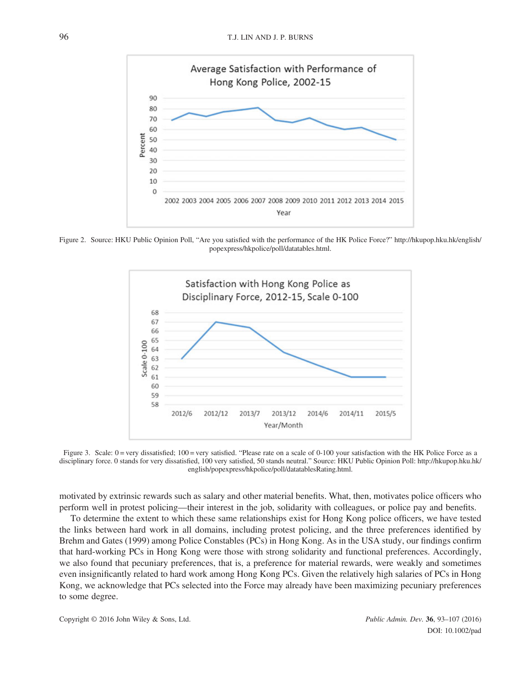

Figure 2. Source: HKU Public Opinion Poll, "Are you satisfied with the performance of the HK Police Force?" [http://hkupop.hku.hk/english/](http://hkupop.hku.hk/english/popexpress/hkpolice/poll/datatables.html) [popexpress/hkpolice/poll/datatables.html](http://hkupop.hku.hk/english/popexpress/hkpolice/poll/datatables.html).



Figure 3. Scale: 0 = very dissatisfied; 100 = very satisfied. "Please rate on a scale of 0-100 your satisfaction with the HK Police Force as a disciplinary force. 0 stands for very dissatisfied, 100 very satisfied, 50 stands neutral." Source: HKU Public Opinion Poll: http://hkupop.hku.hk/ english/popexpress/hkpolice/poll/datatablesRating.html.

motivated by extrinsic rewards such as salary and other material benefits. What, then, motivates police officers who perform well in protest policing—their interest in the job, solidarity with colleagues, or police pay and benefits.

To determine the extent to which these same relationships exist for Hong Kong police officers, we have tested the links between hard work in all domains, including protest policing, and the three preferences identified by Brehm and Gates (1999) among Police Constables (PCs) in Hong Kong. As in the USA study, our findings confirm that hard-working PCs in Hong Kong were those with strong solidarity and functional preferences. Accordingly, we also found that pecuniary preferences, that is, a preference for material rewards, were weakly and sometimes even insignificantly related to hard work among Hong Kong PCs. Given the relatively high salaries of PCs in Hong Kong, we acknowledge that PCs selected into the Force may already have been maximizing pecuniary preferences to some degree.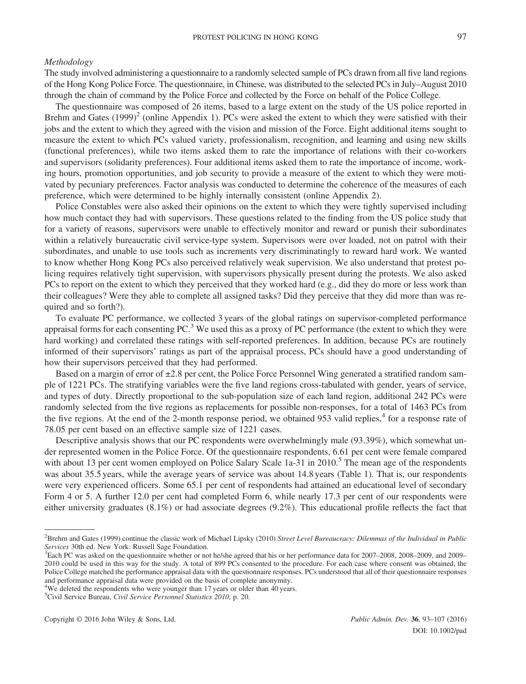#### Methodology

The study involved administering a questionnaire to a randomly selected sample of PCs drawn from all five land regions of the Hong Kong Police Force. The questionnaire, in Chinese, was distributed to the selected PCs in July–August 2010 through the chain of command by the Police Force and collected by the Force on behalf of the Police College.

The questionnaire was composed of 26 items, based to a large extent on the study of the US police reported in Brehm and Gates (1999)<sup>2</sup> (online Appendix 1). PCs were asked the extent to which they were satisfied with their jobs and the extent to which they agreed with the vision and mission of the Force. Eight additional items sought to measure the extent to which PCs valued variety, professionalism, recognition, and learning and using new skills (functional preferences), while two items asked them to rate the importance of relations with their co-workers and supervisors (solidarity preferences). Four additional items asked them to rate the importance of income, working hours, promotion opportunities, and job security to provide a measure of the extent to which they were motivated by pecuniary preferences. Factor analysis was conducted to determine the coherence of the measures of each preference, which were determined to be highly internally consistent (online Appendix 2).

Police Constables were also asked their opinions on the extent to which they were tightly supervised including how much contact they had with supervisors. These questions related to the finding from the US police study that for a variety of reasons, supervisors were unable to effectively monitor and reward or punish their subordinates within a relatively bureaucratic civil service-type system. Supervisors were over loaded, not on patrol with their subordinates, and unable to use tools such as increments very discriminatingly to reward hard work. We wanted to know whether Hong Kong PCs also perceived relatively weak supervision. We also understand that protest policing requires relatively tight supervision, with supervisors physically present during the protests. We also asked PCs to report on the extent to which they perceived that they worked hard (e.g., did they do more or less work than their colleagues? Were they able to complete all assigned tasks? Did they perceive that they did more than was required and so forth?).

To evaluate PC performance, we collected 3 years of the global ratings on supervisor-completed performance appraisal forms for each consenting  $PC<sup>3</sup>$  We used this as a proxy of PC performance (the extent to which they were hard working) and correlated these ratings with self-reported preferences. In addition, because PCs are routinely informed of their supervisors' ratings as part of the appraisal process, PCs should have a good understanding of how their supervisors perceived that they had performed.

Based on a margin of error of  $\pm 2.8$  per cent, the Police Force Personnel Wing generated a stratified random sample of 1221 PCs. The stratifying variables were the five land regions cross-tabulated with gender, years of service, and types of duty. Directly proportional to the sub-population size of each land region, additional 242 PCs were randomly selected from the five regions as replacements for possible non-responses, for a total of 1463 PCs from the five regions. At the end of the 2-month response period, we obtained 953 valid replies,<sup>4</sup> for a response rate of 78.05 per cent based on an effective sample size of 1221 cases.

Descriptive analysis shows that our PC respondents were overwhelmingly male (93.39%), which somewhat under represented women in the Police Force. Of the questionnaire respondents, 6.61 per cent were female compared with about 13 per cent women employed on Police Salary Scale  $1a-31$  in  $2010$ .<sup>5</sup> The mean age of the respondents was about 35.5 years, while the average years of service was about 14.8 years (Table 1). That is, our respondents were very experienced officers. Some 65.1 per cent of respondents had attained an educational level of secondary Form 4 or 5. A further 12.0 per cent had completed Form 6, while nearly 17.3 per cent of our respondents were either university graduates (8.1%) or had associate degrees (9.2%). This educational profile reflects the fact that

<sup>&</sup>lt;sup>2</sup> Brehm and Gates (1999) continue the classic work of Michael Lipsky (2010) Street Level Bureaucracy: Dilemmas of the Individual in Public Services 30th ed. New York: Russell Sage Foundation.

<sup>&</sup>lt;sup>3</sup>Each PC was asked on the questionnaire whether or not he/she agreed that his or her performance data for 2007–2008, 2008–2009, and 2009– 2010 could be used in this way for the study. A total of 899 PCs consented to the procedure. For each case where consent was obtained, the Police College matched the performance appraisal data with the questionnaire responses. PCs understood that all of their questionnaire responses and performance appraisal data were provided on the basis of complete anonymity.

<sup>&</sup>lt;sup>4</sup>We deleted the respondents who were younger than 17 years or older than 40 years.

<sup>&</sup>lt;sup>5</sup>Civil Service Bureau, Civil Service Personnel Statistics 2010, p. 20.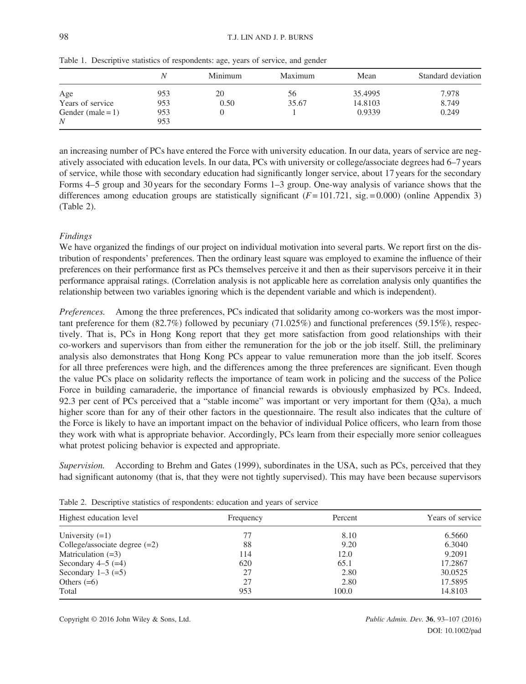|                           | Ν          | Minimum | Maximum | Mean    | Standard deviation |
|---------------------------|------------|---------|---------|---------|--------------------|
| Age                       | 953        | 20      | 56      | 35.4995 | 7.978              |
| Years of service          | 953        | 0.50    | 35.67   | 14.8103 | 8.749              |
| Gender (male $= 1$ )<br>N | 953<br>953 |         |         | 0.9339  | 0.249              |

Table 1. Descriptive statistics of respondents: age, years of service, and gender

an increasing number of PCs have entered the Force with university education. In our data, years of service are negatively associated with education levels. In our data, PCs with university or college/associate degrees had 6–7 years of service, while those with secondary education had significantly longer service, about 17 years for the secondary Forms 4–5 group and 30 years for the secondary Forms 1–3 group. One-way analysis of variance shows that the differences among education groups are statistically significant  $(F= 101.721, sig = 0.000)$  (online Appendix 3) (Table 2).

#### Findings

We have organized the findings of our project on individual motivation into several parts. We report first on the distribution of respondents' preferences. Then the ordinary least square was employed to examine the influence of their preferences on their performance first as PCs themselves perceive it and then as their supervisors perceive it in their performance appraisal ratings. (Correlation analysis is not applicable here as correlation analysis only quantifies the relationship between two variables ignoring which is the dependent variable and which is independent).

Preferences. Among the three preferences, PCs indicated that solidarity among co-workers was the most important preference for them (82.7%) followed by pecuniary (71.025%) and functional preferences (59.15%), respectively. That is, PCs in Hong Kong report that they get more satisfaction from good relationships with their co-workers and supervisors than from either the remuneration for the job or the job itself. Still, the preliminary analysis also demonstrates that Hong Kong PCs appear to value remuneration more than the job itself. Scores for all three preferences were high, and the differences among the three preferences are significant. Even though the value PCs place on solidarity reflects the importance of team work in policing and the success of the Police Force in building camaraderie, the importance of financial rewards is obviously emphasized by PCs. Indeed, 92.3 per cent of PCs perceived that a "stable income" was important or very important for them (Q3a), a much higher score than for any of their other factors in the questionnaire. The result also indicates that the culture of the Force is likely to have an important impact on the behavior of individual Police officers, who learn from those they work with what is appropriate behavior. Accordingly, PCs learn from their especially more senior colleagues what protest policing behavior is expected and appropriate.

Supervision. According to Brehm and Gates (1999), subordinates in the USA, such as PCs, perceived that they had significant autonomy (that is, that they were not tightly supervised). This may have been because supervisors

| Highest education level         | Frequency | Percent | Years of service |
|---------------------------------|-----------|---------|------------------|
| University $(=1)$               | 77        | 8.10    | 6.5660           |
| College/associate degree $(=2)$ | 88        | 9.20    | 6.3040           |
| Matriculation $(=3)$            | 114       | 12.0    | 9.2091           |
| Secondary $4-5 (=4)$            | 620       | 65.1    | 17.2867          |
| Secondary $1-3 (=5)$            | 27        | 2.80    | 30.0525          |
| Others $(=6)$                   | 27        | 2.80    | 17.5895          |
| Total                           | 953       | 100.0   | 14.8103          |

Table 2. Descriptive statistics of respondents: education and years of service

Copyright © 2016 John Wiley & Sons, Ltd. Public Admin. Dev. 36, 93–107 (2016)

DOI: 10.1002/pad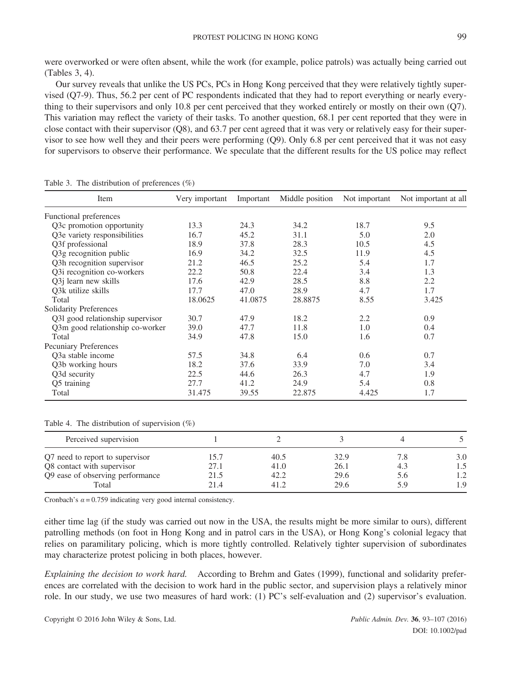were overworked or were often absent, while the work (for example, police patrols) was actually being carried out (Tables 3, 4).

Our survey reveals that unlike the US PCs, PCs in Hong Kong perceived that they were relatively tightly supervised (Q7-9). Thus, 56.2 per cent of PC respondents indicated that they had to report everything or nearly everything to their supervisors and only 10.8 per cent perceived that they worked entirely or mostly on their own (Q7). This variation may reflect the variety of their tasks. To another question, 68.1 per cent reported that they were in close contact with their supervisor (Q8), and 63.7 per cent agreed that it was very or relatively easy for their supervisor to see how well they and their peers were performing (Q9). Only 6.8 per cent perceived that it was not easy for supervisors to observe their performance. We speculate that the different results for the US police may reflect

| Item                             | Very important | Important | Middle position | Not important | Not important at all |
|----------------------------------|----------------|-----------|-----------------|---------------|----------------------|
| Functional preferences           |                |           |                 |               |                      |
| Q3c promotion opportunity        | 13.3           | 24.3      | 34.2            | 18.7          | 9.5                  |
| Q3e variety responsibilities     | 16.7           | 45.2      | 31.1            | 5.0           | 2.0                  |
| Q3f professional                 | 18.9           | 37.8      | 28.3            | 10.5          | 4.5                  |
| Q3g recognition public           | 16.9           | 34.2      | 32.5            | 11.9          | 4.5                  |
| Q3h recognition supervisor       | 21.2           | 46.5      | 25.2            | 5.4           | 1.7                  |
| Q3i recognition co-workers       | 22.2           | 50.8      | 22.4            | 3.4           | 1.3                  |
| Q3 <i>j</i> learn new skills     | 17.6           | 42.9      | 28.5            | 8.8           | 2.2                  |
| O3k utilize skills               | 17.7           | 47.0      | 28.9            | 4.7           | 1.7                  |
| Total                            | 18.0625        | 41.0875   | 28.8875         | 8.55          | 3.425                |
| Solidarity Preferences           |                |           |                 |               |                      |
| Q31 good relationship supervisor | 30.7           | 47.9      | 18.2            | 2.2           | 0.9                  |
| Q3m good relationship co-worker  | 39.0           | 47.7      | 11.8            | 1.0           | 0.4                  |
| Total                            | 34.9           | 47.8      | 15.0            | 1.6           | 0.7                  |
| Pecuniary Preferences            |                |           |                 |               |                      |
| Q3a stable income                | 57.5           | 34.8      | 6.4             | 0.6           | 0.7                  |
| Q3b working hours                | 18.2           | 37.6      | 33.9            | 7.0           | 3.4                  |
| Q3d security                     | 22.5           | 44.6      | 26.3            | 4.7           | 1.9                  |
| Q5 training                      | 27.7           | 41.2      | 24.9            | 5.4           | 0.8                  |
| Total                            | 31.475         | 39.55     | 22.875          | 4.425         | 1.7                  |

Table 3. The distribution of preferences (%)

|  |  |  |  | Table 4. The distribution of supervision $(\%)$ |  |
|--|--|--|--|-------------------------------------------------|--|
|--|--|--|--|-------------------------------------------------|--|

| Perceived supervision            |      |      |      |     |     |
|----------------------------------|------|------|------|-----|-----|
| Q7 need to report to supervisor  | 15.7 | 40.5 | 32.9 |     | 3.0 |
| Q8 contact with supervisor       | 27.1 | 41.0 | 26.1 | 4.3 | 1.5 |
| Q9 ease of observing performance | 21.5 | 42.2 | 29.6 | 5.6 | 1.2 |
| Total                            | 21.4 | 41 2 | 29.6 | 5 Q | 1.9 |

Cronbach's  $\alpha$  = 0.759 indicating very good internal consistency.

either time lag (if the study was carried out now in the USA, the results might be more similar to ours), different patrolling methods (on foot in Hong Kong and in patrol cars in the USA), or Hong Kong's colonial legacy that relies on paramilitary policing, which is more tightly controlled. Relatively tighter supervision of subordinates may characterize protest policing in both places, however.

Explaining the decision to work hard. According to Brehm and Gates (1999), functional and solidarity preferences are correlated with the decision to work hard in the public sector, and supervision plays a relatively minor role. In our study, we use two measures of hard work: (1) PC's self-evaluation and (2) supervisor's evaluation.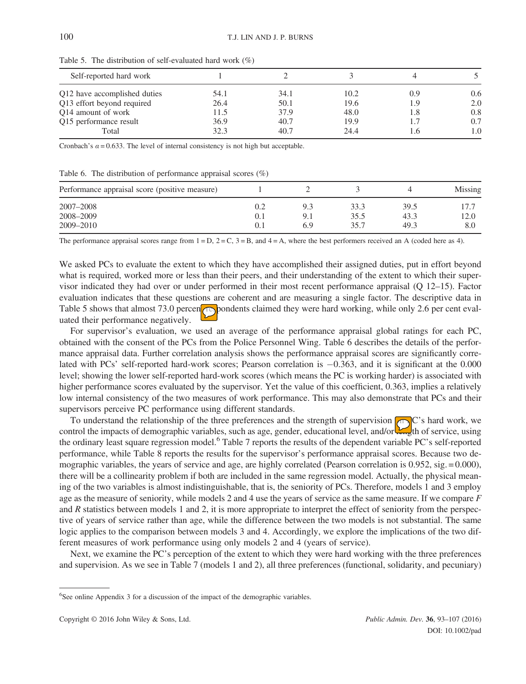| Self-reported hard work      |      |      |      |       |     |
|------------------------------|------|------|------|-------|-----|
| Q12 have accomplished duties | 54.1 | 34.1 | 10.2 | (0.9) | 0.6 |
| Q13 effort beyond required   | 26.4 | 50.1 | 19.6 | l.9   | 2.0 |
| O14 amount of work           | 11.5 | 37.9 | 48.0 | 1.8   | 0.8 |
| Q15 performance result       | 36.9 | 40.7 | 19.9 |       | 0.7 |
| Total                        | 32.3 | 40.7 | 24.4 |       | 1.0 |

Table 5. The distribution of self-evaluated hard work (%)

Cronbach's  $\alpha$  = 0.633. The level of internal consistency is not high but acceptable.

Table 6. The distribution of performance appraisal scores (%)

| Performance appraisal score (positive measure) |        |     |      |      | Missing |
|------------------------------------------------|--------|-----|------|------|---------|
| 2007-2008                                      | 0.2    | 9.3 | 33.3 | 39.5 |         |
| 2008–2009                                      | 0.1    | 9.1 | 35.5 | 43.3 | 12.0    |
| 2009-2010                                      | $($ ). | 6.9 | 35.7 | 49.3 | 8.0     |

The performance appraisal scores range from  $1 = D$ ,  $2 = C$ ,  $3 = B$ , and  $4 = A$ , where the best performers received an A (coded here as 4).

We asked PCs to evaluate the extent to which they have accomplished their assigned duties, put in effort beyond what is required, worked more or less than their peers, and their understanding of the extent to which their supervisor indicated they had over or under performed in their most recent performance appraisal (Q 12–15). Factor evaluation indicates that these questions are coherent and are measuring a single factor. The descriptive data in Table 5 shows that almost 73.0 percent  $\log$  bondents claimed they were hard working, while only 2.6 per cent evaluated their performance negatively.

For supervisor's evaluation, we used an average of the performance appraisal global ratings for each PC, obtained with the consent of the PCs from the Police Personnel Wing. Table 6 describes the details of the performance appraisal data. Further correlation analysis shows the performance appraisal scores are significantly correlated with PCs' self-reported hard-work scores; Pearson correlation is  $-0.363$ , and it is significant at the  $0.000$ level; showing the lower self-reported hard-work scores (which means the PC is working harder) is associated with higher performance scores evaluated by the supervisor. Yet the value of this coefficient, 0.363, implies a relatively low internal consistency of the two measures of work performance. This may also demonstrate that PCs and their supervisors perceive PC performance using different standards.

To understand the relationship of the three preferences and the strength of supervision  $\Box$ C's hard work, we control the impacts of demographic variables, such as age, gender, educational level, and/or length of service, using the ordinary least square regression model.<sup>6</sup> Table 7 reports the results of the dependent variable PC's self-reported performance, while Table 8 reports the results for the supervisor's performance appraisal scores. Because two demographic variables, the years of service and age, are highly correlated (Pearson correlation is 0.952, sig. = 0.000), there will be a collinearity problem if both are included in the same regression model. Actually, the physical meaning of the two variables is almost indistinguishable, that is, the seniority of PCs. Therefore, models 1 and 3 employ age as the measure of seniority, while models 2 and 4 use the years of service as the same measure. If we compare  $F$ and R statistics between models 1 and 2, it is more appropriate to interpret the effect of seniority from the perspective of years of service rather than age, while the difference between the two models is not substantial. The same logic applies to the comparison between models 3 and 4. Accordingly, we explore the implications of the two different measures of work performance using only models 2 and 4 (years of service).

Next, we examine the PC's perception of the extent to which they were hard working with the three preferences and supervision. As we see in Table 7 (models 1 and 2), all three preferences (functional, solidarity, and pecuniary)

<sup>&</sup>lt;sup>6</sup>See online Appendix 3 for a discussion of the impact of the demographic variables.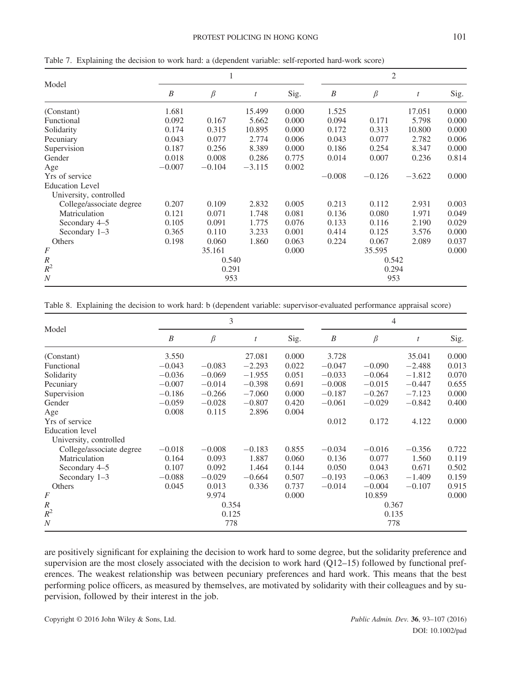|                          |                  |          |          |       |                  | $\mathfrak{2}$ |          |       |  |
|--------------------------|------------------|----------|----------|-------|------------------|----------------|----------|-------|--|
| Model                    | $\boldsymbol{B}$ | $\beta$  | t        | Sig.  | $\boldsymbol{B}$ | $\beta$        | t        | Sig.  |  |
| (Constant)               | 1.681            |          | 15.499   | 0.000 | 1.525            |                | 17.051   | 0.000 |  |
| Functional               | 0.092            | 0.167    | 5.662    | 0.000 | 0.094            | 0.171          | 5.798    | 0.000 |  |
| Solidarity               | 0.174            | 0.315    | 10.895   | 0.000 | 0.172            | 0.313          | 10.800   | 0.000 |  |
| Pecuniary                | 0.043            | 0.077    | 2.774    | 0.006 | 0.043            | 0.077          | 2.782    | 0.006 |  |
| Supervision              | 0.187            | 0.256    | 8.389    | 0.000 | 0.186            | 0.254          | 8.347    | 0.000 |  |
| Gender                   | 0.018            | 0.008    | 0.286    | 0.775 | 0.014            | 0.007          | 0.236    | 0.814 |  |
| Age                      | $-0.007$         | $-0.104$ | $-3.115$ | 0.002 |                  |                |          |       |  |
| Yrs of service           |                  |          |          |       | $-0.008$         | $-0.126$       | $-3.622$ | 0.000 |  |
| <b>Education Level</b>   |                  |          |          |       |                  |                |          |       |  |
| University, controlled   |                  |          |          |       |                  |                |          |       |  |
| College/associate degree | 0.207            | 0.109    | 2.832    | 0.005 | 0.213            | 0.112          | 2.931    | 0.003 |  |
| Matriculation            | 0.121            | 0.071    | 1.748    | 0.081 | 0.136            | 0.080          | 1.971    | 0.049 |  |
| Secondary 4-5            | 0.105            | 0.091    | 1.775    | 0.076 | 0.133            | 0.116          | 2.190    | 0.029 |  |
| Secondary 1-3            | 0.365            | 0.110    | 3.233    | 0.001 | 0.414            | 0.125          | 3.576    | 0.000 |  |
| Others                   | 0.198            | 0.060    | 1.860    | 0.063 | 0.224            | 0.067          | 2.089    | 0.037 |  |
| F                        |                  | 35.161   |          | 0.000 |                  | 35.595         |          | 0.000 |  |
| $\overline{R}$           |                  | 0.540    |          |       |                  | 0.542          |          |       |  |
| $R^2$                    |                  | 0.291    |          |       |                  | 0.294          |          |       |  |
| $\overline{N}$           |                  | 953      |          |       |                  | 953            |          |       |  |

Table 7. Explaining the decision to work hard: a (dependent variable: self-reported hard-work score)

Table 8. Explaining the decision to work hard: b (dependent variable: supervisor-evaluated performance appraisal score)

|                          |                  | 3        |          |       |          | $\overline{4}$ |          |       |  |
|--------------------------|------------------|----------|----------|-------|----------|----------------|----------|-------|--|
| Model                    | $\boldsymbol{B}$ | $\beta$  | t        | Sig.  | B        | $\beta$        | t        | Sig.  |  |
| (Constant)               | 3.550            |          | 27.081   | 0.000 | 3.728    |                | 35.041   | 0.000 |  |
| Functional               | $-0.043$         | $-0.083$ | $-2.293$ | 0.022 | $-0.047$ | $-0.090$       | $-2.488$ | 0.013 |  |
| Solidarity               | $-0.036$         | $-0.069$ | $-1.955$ | 0.051 | $-0.033$ | $-0.064$       | $-1.812$ | 0.070 |  |
| Pecuniary                | $-0.007$         | $-0.014$ | $-0.398$ | 0.691 | $-0.008$ | $-0.015$       | $-0.447$ | 0.655 |  |
| Supervision              | $-0.186$         | $-0.266$ | $-7.060$ | 0.000 | $-0.187$ | $-0.267$       | $-7.123$ | 0.000 |  |
| Gender                   | $-0.059$         | $-0.028$ | $-0.807$ | 0.420 | $-0.061$ | $-0.029$       | $-0.842$ | 0.400 |  |
| Age                      | 0.008            | 0.115    | 2.896    | 0.004 |          |                |          |       |  |
| Yrs of service           |                  |          |          |       | 0.012    | 0.172          | 4.122    | 0.000 |  |
| <b>Education</b> level   |                  |          |          |       |          |                |          |       |  |
| University, controlled   |                  |          |          |       |          |                |          |       |  |
| College/associate degree | $-0.018$         | $-0.008$ | $-0.183$ | 0.855 | $-0.034$ | $-0.016$       | $-0.356$ | 0.722 |  |
| Matriculation            | 0.164            | 0.093    | 1.887    | 0.060 | 0.136    | 0.077          | 1.560    | 0.119 |  |
| Secondary 4-5            | 0.107            | 0.092    | 1.464    | 0.144 | 0.050    | 0.043          | 0.671    | 0.502 |  |
| Secondary 1-3            | $-0.088$         | $-0.029$ | $-0.664$ | 0.507 | $-0.193$ | $-0.063$       | $-1.409$ | 0.159 |  |
| Others                   | 0.045            | 0.013    | 0.336    | 0.737 | $-0.014$ | $-0.004$       | $-0.107$ | 0.915 |  |
| F                        |                  | 9.974    |          | 0.000 |          | 10.859         |          | 0.000 |  |
| $\it R$                  |                  | 0.354    |          |       |          | 0.367          |          |       |  |
| $R^2$                    |                  | 0.125    |          |       |          | 0.135          |          |       |  |
| N                        |                  | 778      |          |       |          | 778            |          |       |  |

are positively significant for explaining the decision to work hard to some degree, but the solidarity preference and supervision are the most closely associated with the decision to work hard (Q12–15) followed by functional preferences. The weakest relationship was between pecuniary preferences and hard work. This means that the best performing police officers, as measured by themselves, are motivated by solidarity with their colleagues and by supervision, followed by their interest in the job.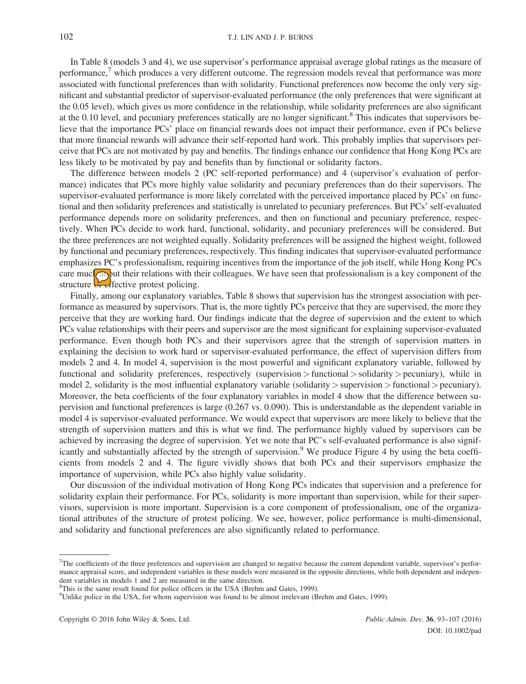In Table 8 (models 3 and 4), we use supervisor's performance appraisal average global ratings as the measure of performance,<sup>7</sup> which produces a very different outcome. The regression models reveal that performance was more associated with functional preferences than with solidarity. Functional preferences now become the only very significant and substantial predictor of supervisor-evaluated performance (the only preferences that were significant at the 0.05 level), which gives us more confidence in the relationship, while solidarity preferences are also significant at the 0.10 level, and pecuniary preferences statically are no longer significant.<sup>8</sup> This indicates that supervisors believe that the importance PCs' place on financial rewards does not impact their performance, even if PCs believe that more financial rewards will advance their self-reported hard work. This probably implies that supervisors perceive that PCs are not motivated by pay and benefits. The findings enhance our confidence that Hong Kong PCs are less likely to be motivated by pay and benefits than by functional or solidarity factors.

The difference between models 2 (PC self-reported performance) and 4 (supervisor's evaluation of performance) indicates that PCs more highly value solidarity and pecuniary preferences than do their supervisors. The supervisor-evaluated performance is more likely correlated with the perceived importance placed by PCs' on functional and then solidarity preferences and statistically is unrelated to pecuniary preferences. But PCs' self-evaluated performance depends more on solidarity preferences, and then on functional and pecuniary preference, respectively. When PCs decide to work hard, functional, solidarity, and pecuniary preferences will be considered. But the three preferences are not weighted equally. Solidarity preferences will be assigned the highest weight, followed by functional and pecuniary preferences, respectively. This finding indicates that supervisor-evaluated performance emphasizes PC's professionalism, requiring incentives from the importance of the job itself, while Hong Kong PCs care much about their relations with their colleagues. We have seen that professionalism is a key component of the structure  $\frac{1}{\sqrt{2}}$  effective protest policing.

Finally, among our explanatory variables, Table 8 shows that supervision has the strongest association with performance as measured by supervisors. That is, the more tightly PCs perceive that they are supervised, the more they perceive that they are working hard. Our findings indicate that the degree of supervision and the extent to which PCs value relationships with their peers and supervisor are the most significant for explaining supervisor-evaluated performance. Even though both PCs and their supervisors agree that the strength of supervision matters in explaining the decision to work hard or supervisor-evaluated performance, the effect of supervision differs from models 2 and 4. In model 4, supervision is the most powerful and significant explanatory variable, followed by functional and solidarity preferences, respectively (supervision> functional > solidarity >pecuniary), while in model 2, solidarity is the most influential explanatory variable (solidarity > supervision > functional > pecuniary). Moreover, the beta coefficients of the four explanatory variables in model 4 show that the difference between supervision and functional preferences is large (0.267 vs. 0.090). This is understandable as the dependent variable in model 4 is supervisor-evaluated performance. We would expect that supervisors are more likely to believe that the strength of supervision matters and this is what we find. The performance highly valued by supervisors can be achieved by increasing the degree of supervision. Yet we note that PC's self-evaluated performance is also significantly and substantially affected by the strength of supervision.<sup>9</sup> We produce Figure 4 by using the beta coefficients from models 2 and 4. The figure vividly shows that both PCs and their supervisors emphasize the importance of supervision, while PCs also highly value solidarity.

Our discussion of the individual motivation of Hong Kong PCs indicates that supervision and a preference for solidarity explain their performance. For PCs, solidarity is more important than supervision, while for their supervisors, supervision is more important. Supervision is a core component of professionalism, one of the organizational attributes of the structure of protest policing. We see, however, police performance is multi-dimensional, and solidarity and functional preferences are also significantly related to performance.

<sup>&</sup>lt;sup>7</sup>The coefficients of the three preferences and supervision are changed to negative because the current dependent variable, supervisor's performance appraisal score, and independent variables in these models were measured in the opposite directions, while both dependent and independent variables in models 1 and 2 are measured in the same direction.

<sup>&</sup>lt;sup>8</sup>This is the same result found for police officers in the USA (Brehm and Gates, 1999).<br><sup>9</sup>Unlike police in the USA for whom supervision was found to be almost irrelevant (B

Unlike police in the USA, for whom supervision was found to be almost irrelevant (Brehm and Gates, 1999).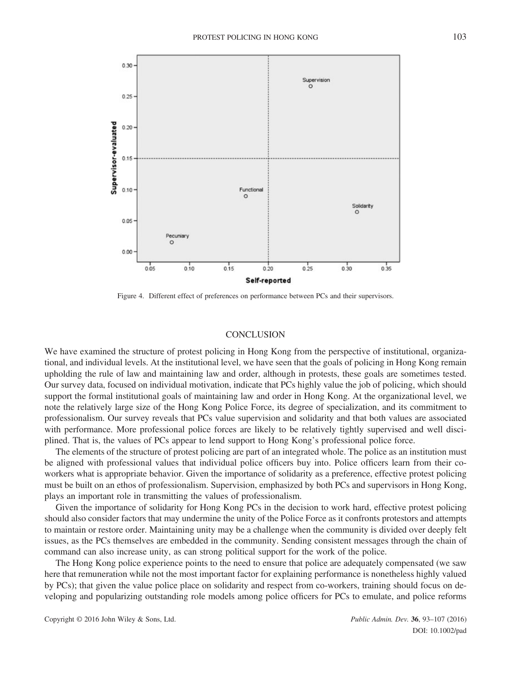

Figure 4. Different effect of preferences on performance between PCs and their supervisors.

#### **CONCLUSION**

We have examined the structure of protest policing in Hong Kong from the perspective of institutional, organizational, and individual levels. At the institutional level, we have seen that the goals of policing in Hong Kong remain upholding the rule of law and maintaining law and order, although in protests, these goals are sometimes tested. Our survey data, focused on individual motivation, indicate that PCs highly value the job of policing, which should support the formal institutional goals of maintaining law and order in Hong Kong. At the organizational level, we note the relatively large size of the Hong Kong Police Force, its degree of specialization, and its commitment to professionalism. Our survey reveals that PCs value supervision and solidarity and that both values are associated with performance. More professional police forces are likely to be relatively tightly supervised and well disciplined. That is, the values of PCs appear to lend support to Hong Kong's professional police force.

The elements of the structure of protest policing are part of an integrated whole. The police as an institution must be aligned with professional values that individual police officers buy into. Police officers learn from their coworkers what is appropriate behavior. Given the importance of solidarity as a preference, effective protest policing must be built on an ethos of professionalism. Supervision, emphasized by both PCs and supervisors in Hong Kong, plays an important role in transmitting the values of professionalism.

Given the importance of solidarity for Hong Kong PCs in the decision to work hard, effective protest policing should also consider factors that may undermine the unity of the Police Force as it confronts protestors and attempts to maintain or restore order. Maintaining unity may be a challenge when the community is divided over deeply felt issues, as the PCs themselves are embedded in the community. Sending consistent messages through the chain of command can also increase unity, as can strong political support for the work of the police.

The Hong Kong police experience points to the need to ensure that police are adequately compensated (we saw here that remuneration while not the most important factor for explaining performance is nonetheless highly valued by PCs); that given the value police place on solidarity and respect from co-workers, training should focus on developing and popularizing outstanding role models among police officers for PCs to emulate, and police reforms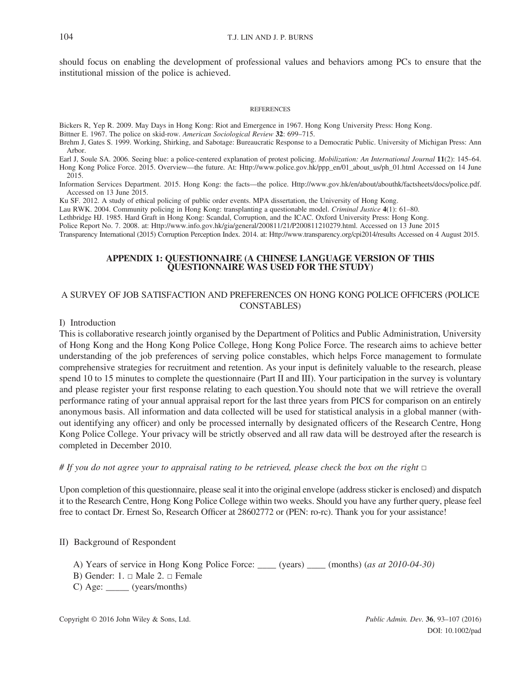should focus on enabling the development of professional values and behaviors among PCs to ensure that the institutional mission of the police is achieved.

#### REFERENCES

Bickers R, Yep R. 2009. May Days in Hong Kong: Riot and Emergence in 1967. Hong Kong University Press: Hong Kong.

Bittner E. 1967. The police on skid-row. American Sociological Review 32: 699–715.

Brehm J, Gates S. 1999. Working, Shirking, and Sabotage: Bureaucratic Response to a Democratic Public. University of Michigan Press: Ann Arbor.

Earl J, Soule SA. 2006. Seeing blue: a police-centered explanation of protest policing. Mobilization: An International Journal 11(2): 145-64. Hong Kong Police Force. 2015. Overview—the future. At: [Http://www.police.gov.hk/ppp\\_en/01\\_about\\_us/ph\\_01.html](Http://www.police.gov.hk/ppp_en/01_about_us/ph_01.html) Accessed on 14 June 2015.

Information Services Department. 2015. Hong Kong: the facts—the police. [Http://www.gov.hk/en/about/abouthk/factsheets/docs/police.pdf.](Http://www.gov.hk/en/about/abouthk/factsheets/docs/police.pdf) Accessed on 13 June 2015.

Ku SF. 2012. A study of ethical policing of public order events. MPA dissertation, the University of Hong Kong.

Lau RWK. 2004. Community policing in Hong Kong: transplanting a questionable model. Criminal Justice 4(1): 61-80.

Lethbridge HJ. 1985. Hard Graft in Hong Kong: Scandal, Corruption, and the ICAC. Oxford University Press: Hong Kong.

Police Report No. 7. 2008. at: [Http://www.info.gov.hk/gia/general/200811/21/P200811210279.html.](Http://www.info.gov.hk/gia/general/200811/21/P200811210279.html) Accessed on 13 June 2015

Transparency International (2015) Corruption Perception Index. 2014. at:<Http://www.transparency.org/cpi2014/results> Accessed on 4 August 2015.

#### APPENDIX 1: QUESTIONNAIRE (A CHINESE LANGUAGE VERSION OF THIS QUESTIONNAIRE WAS USED FOR THE STUDY)

## A SURVEY OF JOB SATISFACTION AND PREFERENCES ON HONG KONG POLICE OFFICERS (POLICE CONSTABLES)

I) Introduction

This is collaborative research jointly organised by the Department of Politics and Public Administration, University of Hong Kong and the Hong Kong Police College, Hong Kong Police Force. The research aims to achieve better understanding of the job preferences of serving police constables, which helps Force management to formulate comprehensive strategies for recruitment and retention. As your input is definitely valuable to the research, please spend 10 to 15 minutes to complete the questionnaire (Part II and III). Your participation in the survey is voluntary and please register your first response relating to each question.You should note that we will retrieve the overall performance rating of your annual appraisal report for the last three years from PICS for comparison on an entirely anonymous basis. All information and data collected will be used for statistical analysis in a global manner (without identifying any officer) and only be processed internally by designated officers of the Research Centre, Hong Kong Police College. Your privacy will be strictly observed and all raw data will be destroyed after the research is completed in December 2010.

# If you do not agree your to appraisal rating to be retrieved, please check the box on the right  $\Box$ 

Upon completion of this questionnaire, please seal it into the original envelope (address sticker is enclosed) and dispatch it to the Research Centre, Hong Kong Police College within two weeks. Should you have any further query, please feel free to contact Dr. Ernest So, Research Officer at 28602772 or (PEN: ro-rc). Thank you for your assistance!

II) Background of Respondent

A) Years of service in Hong Kong Police Force: \_\_\_\_\_ (years) \_\_\_\_\_ (months) (as at 2010-04-30)

- B) Gender: 1. □ Male 2. □ Female
- C) Age: \_\_\_\_\_ (years/months)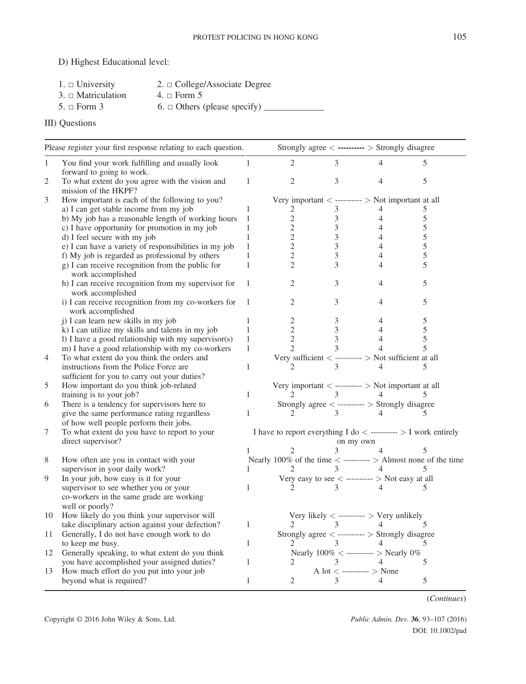D) Highest Educational level:

- 1.  $\square$  University 2.  $\square$  College/Associate Degree<br>3.  $\square$  Matriculation 4.  $\square$  Form 5
- 3.  $\Box$  Matriculation 5.  $\Box$  Form 3.
	-

5. □ Form 3 6. □ Others (please specify) \_\_\_\_\_\_\_\_\_\_\_\_\_

III) Questions

|    | Please register your first response relating to each question.                                       |                |                             |                                | Strongly agree < ----------> Strongly disagree           |                                                                                 |
|----|------------------------------------------------------------------------------------------------------|----------------|-----------------------------|--------------------------------|----------------------------------------------------------|---------------------------------------------------------------------------------|
| 1  | You find your work fulfilling and usually look<br>forward to going to work.                          | $\mathbf{1}$   | $\overline{2}$              | 3                              | 4                                                        | 5                                                                               |
| 2  | To what extent do you agree with the vision and<br>mission of the HKPF?                              | $\mathbf{1}$   | 2                           | 3                              | $\overline{4}$                                           | 5                                                                               |
| 3  | How important is each of the following to you?                                                       |                |                             |                                | Very important $\langle$ ---------> Not important at all |                                                                                 |
|    | a) I can get stable income from my job                                                               | 1              | 2                           | 3                              | 4                                                        | 5                                                                               |
|    | b) My job has a reasonable length of working hours                                                   | $\mathbf{1}$   | $\sqrt{2}$                  | $\mathfrak{Z}$                 | 4                                                        | 5                                                                               |
|    | c) I have opportunity for promotion in my job                                                        | $\mathbf{1}$   | $\sqrt{2}$                  | $\sqrt{3}$                     | 4                                                        | 5                                                                               |
|    | d) I feel secure with my job                                                                         | $\mathbf{1}$   | $\overline{2}$              | $\mathfrak{Z}$                 | 4                                                        | 5                                                                               |
|    | e) I can have a variety of responsibilities in my job                                                | $\mathbf{1}$   | $\overline{2}$              | $\mathfrak{Z}$                 | $\overline{4}$                                           | 5                                                                               |
|    | f) My job is regarded as professional by others                                                      | $\mathbf{1}$   | $\overline{2}$              | $\mathfrak{Z}$                 | $\overline{4}$                                           | 5                                                                               |
|    | g) I can receive recognition from the public for<br>work accomplished                                | $\mathbf{1}$   | $\overline{2}$              | 3                              | $\overline{4}$                                           | 5                                                                               |
|    | h) I can receive recognition from my supervisor for<br>work accomplished                             | $\mathbf{1}$   | 2                           | 3                              | 4                                                        | 5                                                                               |
|    | i) I can receive recognition from my co-workers for<br>work accomplished                             | $\overline{1}$ | 2                           | 3                              | 4                                                        | 5                                                                               |
|    | j) I can learn new skills in my job                                                                  | 1              | 2                           | 3                              | 4                                                        | 5                                                                               |
|    | k) I can utilize my skills and talents in my job                                                     | $\mathbf{1}$   | $\mathbf{2}$                | $\mathfrak 3$                  | $\overline{4}$                                           | 5                                                                               |
|    | l) I have a good relationship with my supervisor(s)                                                  | 1              | $\mathfrak{2}$              | $\mathfrak{Z}$                 | $\overline{4}$                                           | 5                                                                               |
|    | m) I have a good relationship with my co-workers                                                     | $\mathbf{1}$   | $\mathcal{D}_{\mathcal{L}}$ | 3                              | $\overline{4}$                                           | 5                                                                               |
| 4  | To what extent do you think the orders and                                                           |                |                             |                                | Very sufficient < ---------> Not sufficient at all       |                                                                                 |
|    | instructions from the Police Force are                                                               | 1              | 2                           | 3                              | $\overline{4}$                                           | 5                                                                               |
|    | sufficient for you to carry out your duties?                                                         |                |                             |                                |                                                          |                                                                                 |
| 5  | How important do you think job-related                                                               |                |                             |                                | Very important $\langle$ ---------> Not important at all |                                                                                 |
|    | training is to your job?                                                                             | 1              | 2                           | 3                              | 4                                                        | 5                                                                               |
| 6  | There is a tendency for supervisors here to                                                          |                |                             |                                | Strongly agree < ----------> Strongly disagree           |                                                                                 |
|    | give the same performance rating regardless<br>of how well people perform their jobs.                | 1              |                             | $\overline{3}$                 | $\overline{4}$                                           | 5                                                                               |
| 7  | To what extent do you have to report to your                                                         |                |                             |                                |                                                          | I have to report everything I do $\langle$ ---------- $\rangle$ I work entirely |
|    | direct supervisor?                                                                                   |                |                             | on my own                      |                                                          |                                                                                 |
|    |                                                                                                      | 1              |                             | $\mathcal{F}$                  | $\overline{4}$                                           | 5                                                                               |
| 8  | How often are you in contact with your                                                               |                |                             |                                |                                                          | Nearly 100% of the time $\langle$ ---------> Almost none of the time            |
|    | supervisor in your daily work?                                                                       | $\mathbf{1}$   | $2^{\circ}$                 | $\overline{3}$                 | $\overline{4}$                                           | 5                                                                               |
| 9  | In your job, how easy is it for your                                                                 |                |                             |                                | Very easy to see $\langle$ ---------> Not easy at all    |                                                                                 |
|    | supervisor to see whether you or your<br>co-workers in the same grade are working<br>well or poorly? | $\mathbf{1}$   | 2                           | 3                              | $\overline{4}$                                           | 5                                                                               |
| 10 | How likely do you think your supervisor will                                                         |                |                             |                                |                                                          |                                                                                 |
|    | take disciplinary action against your defection?                                                     | 1              |                             |                                | Very likely < ----------> Very unlikely 2 $\frac{3}{4}$  | 5                                                                               |
| 11 | Generally, I do not have enough work to do                                                           |                |                             |                                | Strongly agree < ---------> Strongly disagree            |                                                                                 |
|    | to keep me busy.                                                                                     | $\mathbf{1}$   |                             | $\mathcal{R}$                  | 4                                                        | 5                                                                               |
| 12 | Generally speaking, to what extent do you think                                                      |                |                             |                                | Nearly $100\% <$ ---------> Nearly 0%                    |                                                                                 |
|    | you have accomplished your assigned duties?                                                          | 1              | $\overline{2}$              | $3 \left( \frac{1}{2} \right)$ | $\overline{4}$                                           | 5                                                                               |
| 13 | How much effort do you put into your job                                                             |                |                             |                                | A lot $<$ ---------> None                                |                                                                                 |
|    | beyond what is required?                                                                             | $\mathbf{1}$   | $\overline{2}$              | 3                              | $\overline{4}$                                           | 5                                                                               |

(Continues)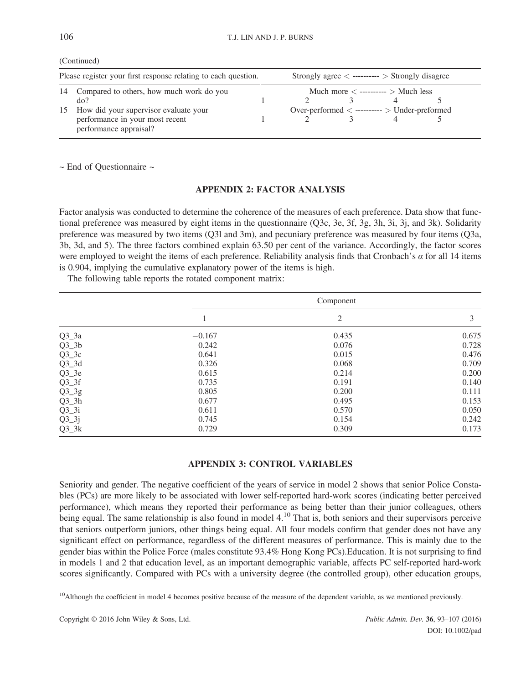| I<br>۹<br>×, |  |  |  |
|--------------|--|--|--|
|              |  |  |  |

| Please register your first response relating to each question. |                                                                                                    |  | Strongly agree $\langle$ ---------- $\rangle$ Strongly disagree |  |
|----------------------------------------------------------------|----------------------------------------------------------------------------------------------------|--|-----------------------------------------------------------------|--|
|                                                                | 14 Compared to others, how much work do you<br>do?                                                 |  | Much more $\langle$ ---------- $>$ Much less                    |  |
| 15                                                             | How did your supervisor evaluate your<br>performance in your most recent<br>performance appraisal? |  | Over-performed $\langle$ ---------- $\rangle$ Under-preformed   |  |

(Continued)

 $\sim$  End of Questionnaire  $\sim$ 

# APPENDIX 2: FACTOR ANALYSIS

Factor analysis was conducted to determine the coherence of the measures of each preference. Data show that functional preference was measured by eight items in the questionnaire (Q3c, 3e, 3f, 3g, 3h, 3i, 3j, and 3k). Solidarity preference was measured by two items (Q3l and 3m), and pecuniary preference was measured by four items (Q3a, 3b, 3d, and 5). The three factors combined explain 63.50 per cent of the variance. Accordingly, the factor scores were employed to weight the items of each preference. Reliability analysis finds that Cronbach's  $\alpha$  for all 14 items is 0.904, implying the cumulative explanatory power of the items is high.

The following table reports the rotated component matrix:

|          | Component |          |       |
|----------|-----------|----------|-------|
|          |           | 2        | 3     |
| $Q3_3a$  | $-0.167$  | 0.435    | 0.675 |
| $Q3_3b$  | 0.242     | 0.076    | 0.728 |
| $Q3_3c$  | 0.641     | $-0.015$ | 0.476 |
| $Q3_3$ d | 0.326     | 0.068    | 0.709 |
| $Q3_3e$  | 0.615     | 0.214    | 0.200 |
| $Q3_3f$  | 0.735     | 0.191    | 0.140 |
| $Q3_3g$  | 0.805     | 0.200    | 0.111 |
| $Q3_3h$  | 0.677     | 0.495    | 0.153 |
| $Q3_3i$  | 0.611     | 0.570    | 0.050 |
| $Q3_3$   | 0.745     | 0.154    | 0.242 |
| $Q3_3k$  | 0.729     | 0.309    | 0.173 |

## APPENDIX 3: CONTROL VARIABLES

Seniority and gender. The negative coefficient of the years of service in model 2 shows that senior Police Constables (PCs) are more likely to be associated with lower self-reported hard-work scores (indicating better perceived performance), which means they reported their performance as being better than their junior colleagues, others being equal. The same relationship is also found in model 4.<sup>10</sup> That is, both seniors and their supervisors perceive that seniors outperform juniors, other things being equal. All four models confirm that gender does not have any significant effect on performance, regardless of the different measures of performance. This is mainly due to the gender bias within the Police Force (males constitute 93.4% Hong Kong PCs).Education. It is not surprising to find in models 1 and 2 that education level, as an important demographic variable, affects PC self-reported hard-work scores significantly. Compared with PCs with a university degree (the controlled group), other education groups,

<sup>&</sup>lt;sup>10</sup>Although the coefficient in model 4 becomes positive because of the measure of the dependent variable, as we mentioned previously.